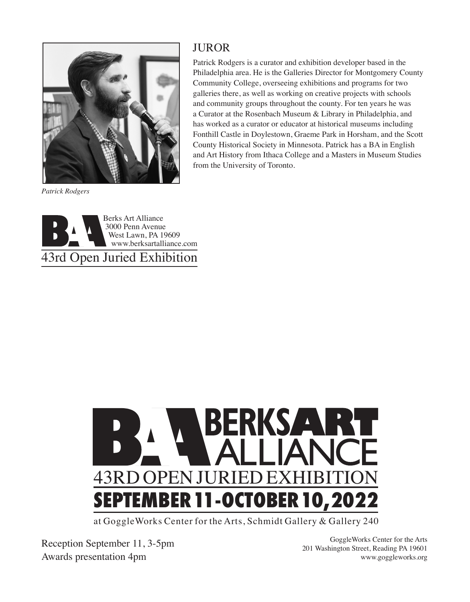

*Patrick Rodgers*

## **JUROR**

Patrick Rodgers is a curator and exhibition developer based in the Philadelphia area. He is the Galleries Director for Montgomery County Community College, overseeing exhibitions and programs for two galleries there, as well as working on creative projects with schools and community groups throughout the county. For ten years he was a Curator at the Rosenbach Museum & Library in Philadelphia, and has worked as a curator or educator at historical museums including Fonthill Castle in Doylestown, Graeme Park in Horsham, and the Scott County Historical Society in Minnesota. Patrick has a BA in English and Art History from Ithaca College and a Masters in Museum Studies from the University of Toronto.





at GoggleWorks Center for the Arts, Schmidt Gallery & Gallery 240

Reception September 11, 3-5pm Awards presentation 4pm

GoggleWorks Center for the Arts 201 Washington Street, Reading PA 19601 www.goggleworks.org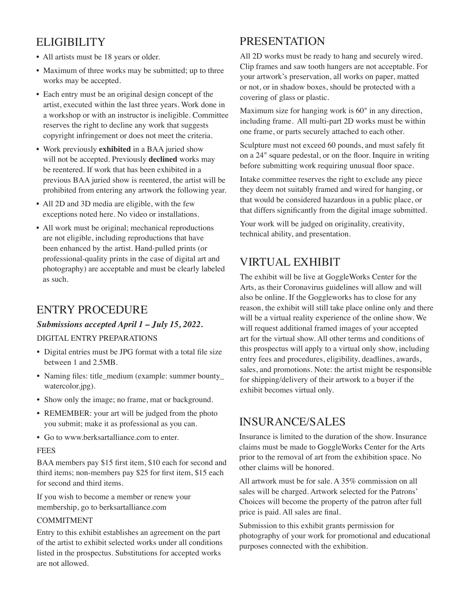# ELIGIBILITY

- All artists must be 18 years or older.
- Maximum of three works may be submitted; up to three works may be accepted.
- Each entry must be an original design concept of the artist, executed within the last three years. Work done in a workshop or with an instructor is ineligible. Committee reserves the right to decline any work that suggests copyright infringement or does not meet the criteria.
- Work previously **exhibited** in a BAA juried show will not be accepted. Previously **declined** works may be reentered. If work that has been exhibited in a previous BAA juried show is reentered, the artist will be prohibited from entering any artwork the following year.
- All 2D and 3D media are eligible, with the few exceptions noted here. No video or installations.
- All work must be original; mechanical reproductions are not eligible, including reproductions that have been enhanced by the artist. Hand-pulled prints (or professional-quality prints in the case of digital art and photography) are acceptable and must be clearly labeled as such.

# ENTRY PROCEDURE

### *Submissions accepted April 1 – July 15, 2022.* DIGITAL ENTRY PREPARATIONS

- Digital entries must be JPG format with a total file size between 1 and 2.5MB.
- Naming files: title\_medium (example: summer bounty\_ watercolor.jpg).
- Show only the image; no frame, mat or background.
- REMEMBER: your art will be judged from the photo you submit; make it as professional as you can.
- Go to www.berksartalliance.com to enter.

### FEES

BAA members pay \$15 first item, \$10 each for second and third items; non-members pay \$25 for first item, \$15 each for second and third items.

If you wish to become a member or renew your membership, go to berksartalliance.com

### COMMITMENT

Entry to this exhibit establishes an agreement on the part of the artist to exhibit selected works under all conditions listed in the prospectus. Substitutions for accepted works are not allowed.

# PRESENTATION

All 2D works must be ready to hang and securely wired. Clip frames and saw tooth hangers are not acceptable. For your artwork's preservation, all works on paper, matted or not, or in shadow boxes, should be protected with a covering of glass or plastic.

Maximum size for hanging work is 60" in any direction, including frame. All multi-part 2D works must be within one frame, or parts securely attached to each other.

Sculpture must not exceed 60 pounds, and must safely fit on a 24" square pedestal, or on the floor. Inquire in writing before submitting work requiring unusual floor space.

Intake committee reserves the right to exclude any piece they deem not suitably framed and wired for hanging, or that would be considered hazardous in a public place, or that differs significantly from the digital image submitted.

Your work will be judged on originality, creativity, technical ability, and presentation.

# VIRTUAL EXHIBIT

The exhibit will be live at GoggleWorks Center for the Arts, as their Coronavirus guidelines will allow and will also be online. If the Goggleworks has to close for any reason, the exhibit will still take place online only and there will be a virtual reality experience of the online show. We will request additional framed images of your accepted art for the virtual show. All other terms and conditions of this prospectus will apply to a virtual only show, including entry fees and procedures, eligibility, deadlines, awards, sales, and promotions. Note: the artist might be responsible for shipping/delivery of their artwork to a buyer if the exhibit becomes virtual only.

# INSURANCE/SALES

Insurance is limited to the duration of the show. Insurance claims must be made to GoggleWorks Center for the Arts prior to the removal of art from the exhibition space. No other claims will be honored.

All artwork must be for sale. A 35% commission on all sales will be charged. Artwork selected for the Patrons' Choices will become the property of the patron after full price is paid. All sales are final.

Submission to this exhibit grants permission for photography of your work for promotional and educational purposes connected with the exhibition.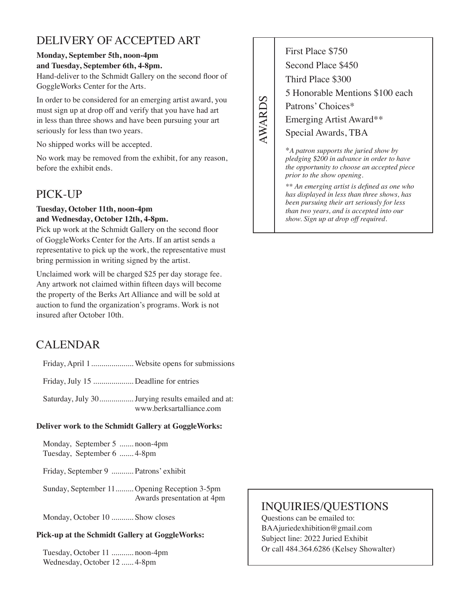# DELIVERY OF ACCEPTED ART

### **Monday, September 5th, noon-4pm**

### **and Tuesday, September 6th, 4-8pm.**

Hand-deliver to the Schmidt Gallery on the second floor of GoggleWorks Center for the Arts.

In order to be considered for an emerging artist award, you must sign up at drop off and verify that you have had art in less than three shows and have been pursuing your art seriously for less than two years.

No shipped works will be accepted.

No work may be removed from the exhibit, for any reason, before the exhibit ends.

# PICK-UP

### **Tuesday, October 11th, noon-4pm and Wednesday, October 12th, 4-8pm.**

Pick up work at the Schmidt Gallery on the second floor of GoggleWorks Center for the Arts. If an artist sends a representative to pick up the work, the representative must bring permission in writing signed by the artist.

Unclaimed work will be charged \$25 per day storage fee. Any artwork not claimed within fifteen days will become the property of the Berks Art Alliance and will be sold at auction to fund the organization's programs. Work is not insured after October 10th.

# CALENDAR

Friday, April 1..................... Website opens for submissions

Friday, July 15 .................... Deadline for entries

Saturday, July 30.................Jurying results emailed and at: www.berksartalliance.com

### **Deliver work to the Schmidt Gallery at GoggleWorks:**

Monday, September 5 ....... noon-4pm Tuesday, September 6 ....... 4-8pm

Friday, September 9 ........... Patrons' exhibit

Sunday, September 11......... Opening Reception 3-5pm Awards presentation at 4pm

Monday, October 10 ........... Show closes

### **Pick-up at the Schmidt Gallery at GoggleWorks:**

Tuesday, October 11 ........... noon-4pm Wednesday, October 12 ...... 4-8pm

First Place \$750 Second Place \$450 Third Place \$300 5 Honorable Mentions \$100 each Patrons' Choices\* Emerging Artist Award\*\* Special Awards, TBA

**AWARDS** AWARDS

> \**A patron supports the juried show by pledging \$200 in advance in order to have the opportunity to choose an accepted piece prior to the show opening.*

> *\*\* An emerging artist is defined as one who has displayed in less than three shows, has been pursuing their art seriously for less than two years, and is accepted into our show. Sign up at drop off required.*

# INQUIRIES/QUESTIONS

Questions can be emailed to: BAAjuriedexhibition@gmail.com Subject line: 2022 Juried Exhibit Or call 484.364.6286 (Kelsey Showalter)